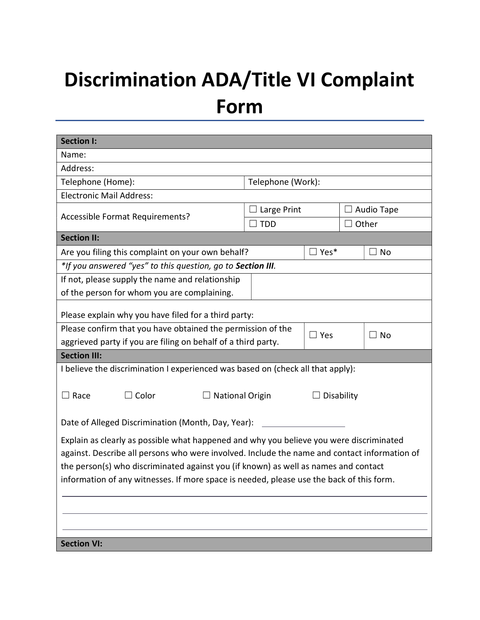## Discrimination ADA/Title VI Complaint Form

| <b>Section I:</b>                                                                                                                                                                                                                                                                                                                                                          |               |                   |            |           |  |
|----------------------------------------------------------------------------------------------------------------------------------------------------------------------------------------------------------------------------------------------------------------------------------------------------------------------------------------------------------------------------|---------------|-------------------|------------|-----------|--|
| Name:                                                                                                                                                                                                                                                                                                                                                                      |               |                   |            |           |  |
| Address:                                                                                                                                                                                                                                                                                                                                                                   |               |                   |            |           |  |
| Telephone (Home):                                                                                                                                                                                                                                                                                                                                                          |               | Telephone (Work): |            |           |  |
| <b>Electronic Mail Address:</b>                                                                                                                                                                                                                                                                                                                                            |               |                   |            |           |  |
|                                                                                                                                                                                                                                                                                                                                                                            | Large Print   |                   | Audio Tape |           |  |
| Accessible Format Requirements?                                                                                                                                                                                                                                                                                                                                            | $\exists$ TDD |                   | Other      |           |  |
| <b>Section II:</b>                                                                                                                                                                                                                                                                                                                                                         |               |                   |            |           |  |
| Are you filing this complaint on your own behalf?                                                                                                                                                                                                                                                                                                                          |               | $\sqsupset$ Yes*  |            | $\Box$ No |  |
| *If you answered "yes" to this question, go to Section III.                                                                                                                                                                                                                                                                                                                |               |                   |            |           |  |
| If not, please supply the name and relationship                                                                                                                                                                                                                                                                                                                            |               |                   |            |           |  |
| of the person for whom you are complaining.                                                                                                                                                                                                                                                                                                                                |               |                   |            |           |  |
| Please explain why you have filed for a third party:                                                                                                                                                                                                                                                                                                                       |               |                   |            |           |  |
| Please confirm that you have obtained the permission of the                                                                                                                                                                                                                                                                                                                |               |                   |            | $\Box$ No |  |
| aggrieved party if you are filing on behalf of a third party.                                                                                                                                                                                                                                                                                                              | $\Box$ Yes    |                   |            |           |  |
| <b>Section III:</b>                                                                                                                                                                                                                                                                                                                                                        |               |                   |            |           |  |
| I believe the discrimination I experienced was based on (check all that apply):                                                                                                                                                                                                                                                                                            |               |                   |            |           |  |
| $\Box$ Color<br>$\Box$ Race<br>$\Box$ National Origin                                                                                                                                                                                                                                                                                                                      |               | Disability        |            |           |  |
| Date of Alleged Discrimination (Month, Day, Year):                                                                                                                                                                                                                                                                                                                         |               |                   |            |           |  |
| Explain as clearly as possible what happened and why you believe you were discriminated<br>against. Describe all persons who were involved. Include the name and contact information of<br>the person(s) who discriminated against you (if known) as well as names and contact<br>information of any witnesses. If more space is needed, please use the back of this form. |               |                   |            |           |  |
| <b>Section VI:</b>                                                                                                                                                                                                                                                                                                                                                         |               |                   |            |           |  |